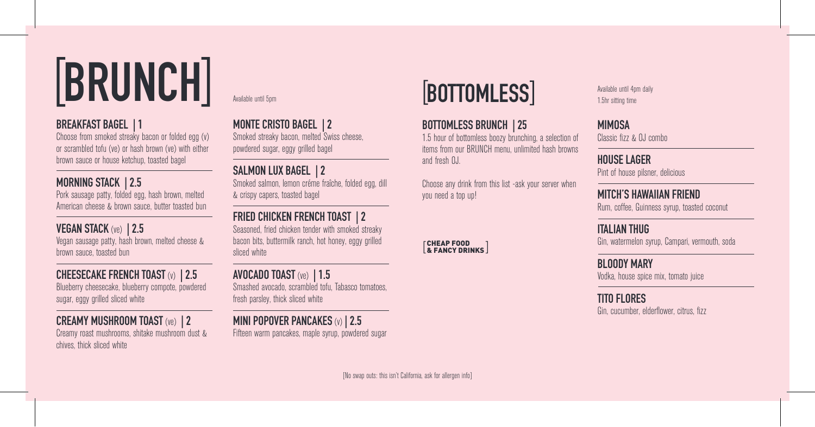# **BRUNCH** Available until Spm **BOTTOMLESS** Available until 4pm daily

#### **BREAKFAST BAGEL | 1**

Choose from smoked streaky bacon or folded egg (y) or scrambled tofu (ve) or hash brown (ve) with either brown sauce or house ketchup, toasted bagel

#### **MORNING STACK | 2.5**

Pork sausage patty, folded egg, hash brown, melted American cheese & brown sauce, butter toasted bun

### **VEGAN STACK** (ve) **| 2.5**

Vegan sausage patty, hash brown, melted cheese & brown sauce, toasted bun

**CHEESECAKE FRENCH TOAST** (v) **| 2.5** Blueberry cheesecake, blueberry compote, powdered sugar, eggy grilled sliced white

#### **CREAMY MUSHROOM TOAST** (ve) **| 2**

Creamy roast mushrooms, shitake mushroom dust & chives, thick sliced white

Ī

 $\overline{a}$ 

**MONTE CRISTO BAGEL | 2**

Smoked streaky bacon, melted Swiss cheese, powdered sugar, eggy grilled bagel

### **SALMON LUX BAGEL | 2**

Smoked salmon, lemon créme fraîche, folded egg, dill & crispy capers, toasted bagel

#### **FRIED CHICKEN FRENCH TOAST | 2**

Seasoned, fried chicken tender with smoked streaky bacon bits, buttermilk ranch, hot honey, eggy grilled sliced white

#### **AVOCADO TOAST** (ve) **| 1.5**

Smashed avocado, scrambled tofu, Tabasco tomatoes, fresh parsley, thick sliced white

#### **MINI POPOVER PANCAKES** (v) **| 2.5**

Fifteen warm pancakes, maple syrup, powdered sugar

#### **BOTTOMLESS BRUNCH | 25**

1.5 hour of bottomless boozy brunching, a selection of items from our BRUNCH menu, unlimited hash browns and fresh OJ.

Choose any drink from this list -ask your server when you need a top up!

CHEAP FOOD & FANCY DRINKS

1.5hr sitting time

#### **MIMOSA**  Classic fizz & OJ combo

**HOUSE LAGER**  Pint of house pilsner, delicious

**MITCH'S HAWAIIAN FRIEND**  Rum, coffee, Guinness syrup, toasted coconut

**ITALIAN THIIG** Gin, watermelon syrup, Campari, vermouth, soda

**BLOODY MARY** Vodka, house spice mix, tomato juice

**TITO FLORES** Gin, cucumber, elderflower, citrus, fizz

[No swap outs: this isn't California, ask for allergen info]